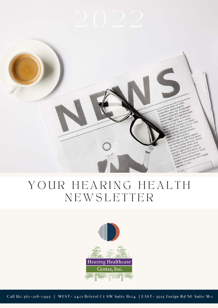Lorem ipsum dolor sit amet.<br>Lorem ipsum dolor sit amet. corem ipsum dolor sit amet.<br>corem ipsum dolor sit amet.<br>consecretur tortor ieo, ullams<br>curabitur quam sut imperdit

im dolor sit amelit.<br>ur adipiscing elit.<br>ur adipiscing, ullamcorper<br>tortor leo, vestibulum.<br>tortor leo, vestibulum. adipiscing<br>adipiscing<br>ortor led, vestibulum<br>pam sed, vestibulet dia<br>wam sed, imperiore sed, vestibulum<br>sed, vestibulum<br>ut imperdiet diam imperdiet ale Fusce a neque **It. In a neque<br>Fusce a neque<br>Jaximus tacilist.** sce a necidunt<br>Kimus tincidunt<br>Nulla facilist, cum natibus et nt montes.

stoque atturient in a sapien<br>5 dis partuius mus<br>etur ridiculus muset sapien<br>entesque att allit proin var<br>entementum ellit pricies, Ev to national parties of the spotential and the spotential parties of the spotential parties of the spotential and the spotential of the spotential and the spotential of the spotential of the spotential of the spotter of the als dis Miculis Hauet spinarius<br>Lentesque at alle Proin e Fusce<br>lentesque at alle Proin e Fusce<br>on elementum is ultricies puis and<br>on element puito e la culis europe entesque elle utilisis utilisis fuit

ien ementuisis ultrem, puis<br>st vitae tacilunt lorem, puisis et vitae<br>st vitae tincidunt lorem, aculis, et<br>suscipit eget justo elit metus, et<br>susiguam lucisus eleitend in.

entenentum principalis altrice puis<br>entenentum principalis altrice puis et activité puis et activité du principalité du principalité du principal<br>principalité du production du principalité du production du principalité du

YOUR HEARING HEALTH **NEWSLETTER** 

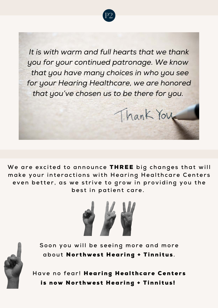

*It is with warm and full hearts that we thank you for your continued patronage. We know that you have many choices in who you see for your Hearing Healthcare, we are honored that you've chosen us to be there for you.*

Thank You

We are excited to announce THREE big changes that will make your interactions with Hearing Healthcare Centers even better, as we strive to grow in providing you the best in patient care.





Soon you will be seeing more and more about Northwest Hearing + Tinnitus.

Have no fear! Hearing Healthcare Centers is now Northwest Hearing + Tinnitus!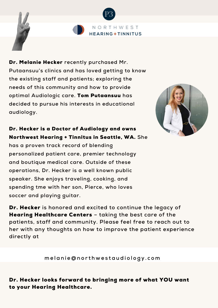

Dr. Melanie Hecker **recently purchased Mr. Putaansuu's clinics and has loved getting to know the existing staff and patients; exploring the needs of this community and how to provide optimal Audiologic care.** Tom Putaansuu **has decided to pursue his interests in educational audiology.**



## Dr. Hecker is a Doctor of Audiology and owns Northwest Hearing + Tinnitus in Seattle, WA. **She**

**has a proven track record of blending personalized patient care, premier technology and boutique medical care. Outside of these operations, Dr. Hecker is a well known public speaker. She enjoys traveling, cooking, and spending tme with her son, Pierce, who loves soccer and playing guitar.** 

Dr. Hecker **is honored and excited to continue the legacy of** Hearing Healthcare Centers **– taking the best care of the patients, staff and community. Please feel free to reach out to her with any thoughts on how to improve the patient experience directly at**

**m e l a n i e @ n o r t h w e s t a u d i o l o g y . c o m**

Dr. Hecker looks forward to bringing more of what YOU want to your Hearing Healthcare.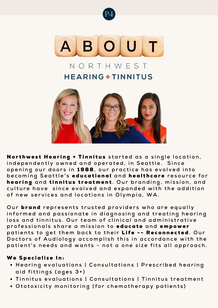



## NORTHWFST **HEARING + TINNITUS**



Northwest Hearing + Tinnitus started as a single location, independently owned and operated, in Seattle. Since opening our doors in 1988, our practice has evolved into **b e c o m i n g S e a t t l e ' s** e d u c a t i o n a l **a n d** h e a l t h c a r e **r e s o u r c e f o r** hearing and tinnitus treatment. Our branding, mission, and culture have since evolved and expanded with the addition of new services and locations in Olympia, WA.

Our **brand** represents trusted providers who are equally informed and passionate in diagnosing and treating hearing loss and tinnitus. Our team of clinical and administrative professionals share a mission to *educate* and *empower* patients to get them back to their Life -- Reconnected. Our Doctors of Audiology accomplish this in accordance with the patient's needs and wants - not a one size fits all approach.

## We Specialize In:

- **•** Hearing evaluations | Consultations | Prescribed hearing aid fittings (ages 3+)
- **Tinnitus evaluations | Consultations | Tinnitus treatment**
- **Ototoxicity monitoring (for chemotherapy patients)**